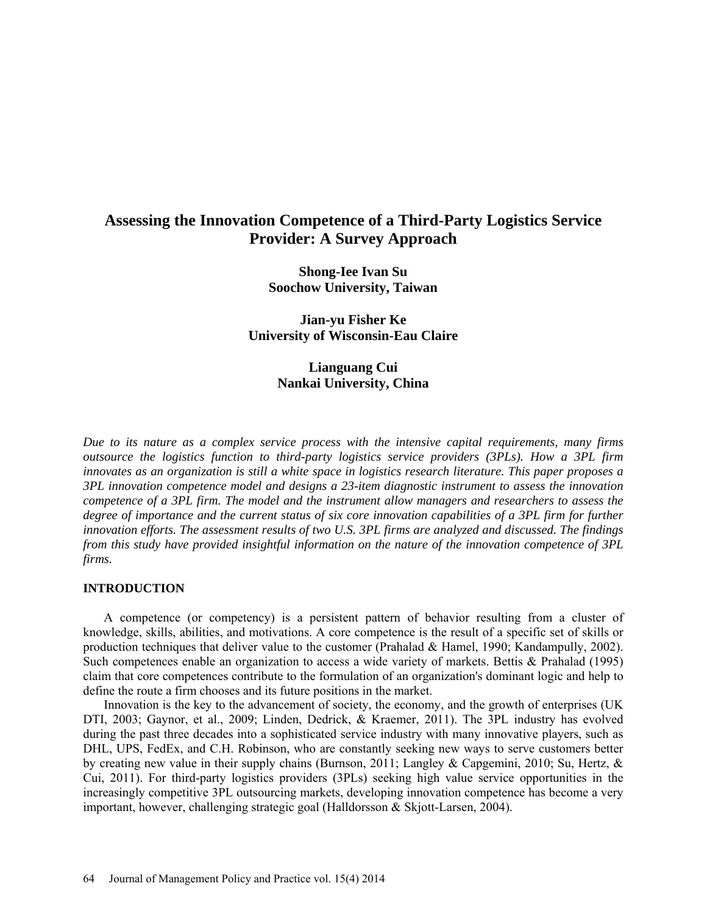# **Assessing the Innovation Competence of a Third-Party Logistics Service Provider: A Survey Approach**

**Shong-Iee Ivan Su Soochow University, Taiwan** 

**Jian-yu Fisher Ke University of Wisconsin-Eau Claire**

> **Lianguang Cui Nankai University, China**

*Due to its nature as a complex service process with the intensive capital requirements, many firms outsource the logistics function to third-party logistics service providers (3PLs). How a 3PL firm innovates as an organization is still a white space in logistics research literature. This paper proposes a 3PL innovation competence model and designs a 23-item diagnostic instrument to assess the innovation competence of a 3PL firm. The model and the instrument allow managers and researchers to assess the degree of importance and the current status of six core innovation capabilities of a 3PL firm for further innovation efforts. The assessment results of two U.S. 3PL firms are analyzed and discussed. The findings from this study have provided insightful information on the nature of the innovation competence of 3PL firms.* 

## **INTRODUCTION**

A competence (or competency) is a persistent pattern of behavior resulting from a cluster of knowledge, skills, abilities, and motivations. A core competence is the result of a specific set of skills or production techniques that deliver value to the customer (Prahalad & Hamel, 1990; Kandampully, 2002). Such competences enable an organization to access a wide variety of markets. Bettis & Prahalad (1995) claim that core competences contribute to the formulation of an organization's dominant logic and help to define the route a firm chooses and its future positions in the market.

Innovation is the key to the advancement of society, the economy, and the growth of enterprises (UK DTI, 2003; Gaynor, et al., 2009; Linden, Dedrick, & Kraemer, 2011). The 3PL industry has evolved during the past three decades into a sophisticated service industry with many innovative players, such as DHL, UPS, FedEx, and C.H. Robinson, who are constantly seeking new ways to serve customers better by creating new value in their supply chains (Burnson, 2011; Langley & Capgemini, 2010; Su, Hertz, & Cui, 2011). For third-party logistics providers (3PLs) seeking high value service opportunities in the increasingly competitive 3PL outsourcing markets, developing innovation competence has become a very important, however, challenging strategic goal (Halldorsson & Skjott-Larsen, 2004).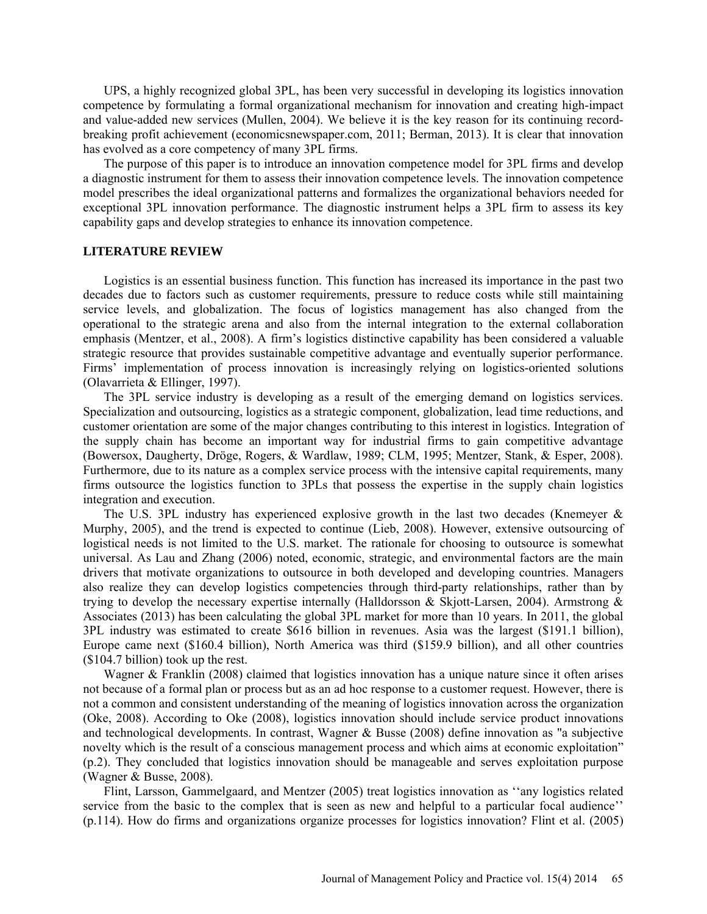UPS, a highly recognized global 3PL, has been very successful in developing its logistics innovation competence by formulating a formal organizational mechanism for innovation and creating high-impact and value-added new services (Mullen, 2004). We believe it is the key reason for its continuing recordbreaking profit achievement (economicsnewspaper.com, 2011; Berman, 2013). It is clear that innovation has evolved as a core competency of many 3PL firms.

The purpose of this paper is to introduce an innovation competence model for 3PL firms and develop a diagnostic instrument for them to assess their innovation competence levels. The innovation competence model prescribes the ideal organizational patterns and formalizes the organizational behaviors needed for exceptional 3PL innovation performance. The diagnostic instrument helps a 3PL firm to assess its key capability gaps and develop strategies to enhance its innovation competence.

#### **LITERATURE REVIEW**

Logistics is an essential business function. This function has increased its importance in the past two decades due to factors such as customer requirements, pressure to reduce costs while still maintaining service levels, and globalization. The focus of logistics management has also changed from the operational to the strategic arena and also from the internal integration to the external collaboration emphasis (Mentzer, et al., 2008). A firm's logistics distinctive capability has been considered a valuable strategic resource that provides sustainable competitive advantage and eventually superior performance. Firms' implementation of process innovation is increasingly relying on logistics-oriented solutions (Olavarrieta & Ellinger, 1997).

The 3PL service industry is developing as a result of the emerging demand on logistics services. Specialization and outsourcing, logistics as a strategic component, globalization, lead time reductions, and customer orientation are some of the major changes contributing to this interest in logistics. Integration of the supply chain has become an important way for industrial firms to gain competitive advantage (Bowersox, Daugherty, Dröge, Rogers, & Wardlaw, 1989; CLM, 1995; Mentzer, Stank, & Esper, 2008). Furthermore, due to its nature as a complex service process with the intensive capital requirements, many firms outsource the logistics function to 3PLs that possess the expertise in the supply chain logistics integration and execution.

The U.S. 3PL industry has experienced explosive growth in the last two decades (Knemeyer  $\&$ Murphy, 2005), and the trend is expected to continue (Lieb, 2008). However, extensive outsourcing of logistical needs is not limited to the U.S. market. The rationale for choosing to outsource is somewhat universal. As Lau and Zhang (2006) noted, economic, strategic, and environmental factors are the main drivers that motivate organizations to outsource in both developed and developing countries. Managers also realize they can develop logistics competencies through third-party relationships, rather than by trying to develop the necessary expertise internally (Halldorsson & Skjott-Larsen, 2004). Armstrong & Associates (2013) has been calculating the global 3PL market for more than 10 years. In 2011, the global 3PL industry was estimated to create \$616 billion in revenues. Asia was the largest (\$191.1 billion), Europe came next (\$160.4 billion), North America was third (\$159.9 billion), and all other countries (\$104.7 billion) took up the rest.

Wagner & Franklin (2008) claimed that logistics innovation has a unique nature since it often arises not because of a formal plan or process but as an ad hoc response to a customer request. However, there is not a common and consistent understanding of the meaning of logistics innovation across the organization (Oke, 2008). According to Oke (2008), logistics innovation should include service product innovations and technological developments. In contrast, Wagner & Busse (2008) define innovation as "a subjective novelty which is the result of a conscious management process and which aims at economic exploitation" (p.2). They concluded that logistics innovation should be manageable and serves exploitation purpose (Wagner & Busse, 2008).

Flint, Larsson, Gammelgaard, and Mentzer (2005) treat logistics innovation as ''any logistics related service from the basic to the complex that is seen as new and helpful to a particular focal audience'' (p.114). How do firms and organizations organize processes for logistics innovation? Flint et al. (2005)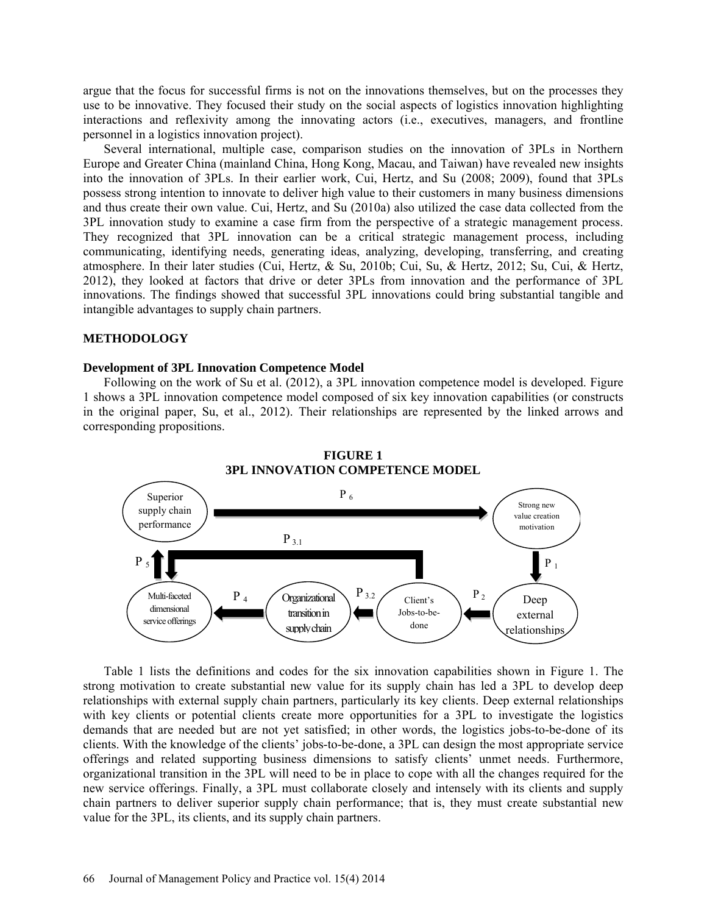argue that the focus for successful firms is not on the innovations themselves, but on the processes they use to be innovative. They focused their study on the social aspects of logistics innovation highlighting interactions and reflexivity among the innovating actors (i.e., executives, managers, and frontline personnel in a logistics innovation project).

Several international, multiple case, comparison studies on the innovation of 3PLs in Northern Europe and Greater China (mainland China, Hong Kong, Macau, and Taiwan) have revealed new insights into the innovation of 3PLs. In their earlier work, Cui, Hertz, and Su (2008; 2009), found that 3PLs possess strong intention to innovate to deliver high value to their customers in many business dimensions and thus create their own value. Cui, Hertz, and Su (2010a) also utilized the case data collected from the 3PL innovation study to examine a case firm from the perspective of a strategic management process. They recognized that 3PL innovation can be a critical strategic management process, including communicating, identifying needs, generating ideas, analyzing, developing, transferring, and creating atmosphere. In their later studies (Cui, Hertz, & Su, 2010b; Cui, Su, & Hertz, 2012; Su, Cui, & Hertz, 2012), they looked at factors that drive or deter 3PLs from innovation and the performance of 3PL innovations. The findings showed that successful 3PL innovations could bring substantial tangible and intangible advantages to supply chain partners.

#### **METHODOLOGY**

## **Development of 3PL Innovation Competence Model**

Following on the work of Su et al. (2012), a 3PL innovation competence model is developed. Figure 1 shows a 3PL innovation competence model composed of six key innovation capabilities (or constructs in the original paper, Su, et al., 2012). Their relationships are represented by the linked arrows and corresponding propositions.



Table 1 lists the definitions and codes for the six innovation capabilities shown in Figure 1. The strong motivation to create substantial new value for its supply chain has led a 3PL to develop deep relationships with external supply chain partners, particularly its key clients. Deep external relationships with key clients or potential clients create more opportunities for a 3PL to investigate the logistics demands that are needed but are not yet satisfied; in other words, the logistics jobs-to-be-done of its clients. With the knowledge of the clients' jobs-to-be-done, a 3PL can design the most appropriate service offerings and related supporting business dimensions to satisfy clients' unmet needs. Furthermore, organizational transition in the 3PL will need to be in place to cope with all the changes required for the new service offerings. Finally, a 3PL must collaborate closely and intensely with its clients and supply chain partners to deliver superior supply chain performance; that is, they must create substantial new value for the 3PL, its clients, and its supply chain partners.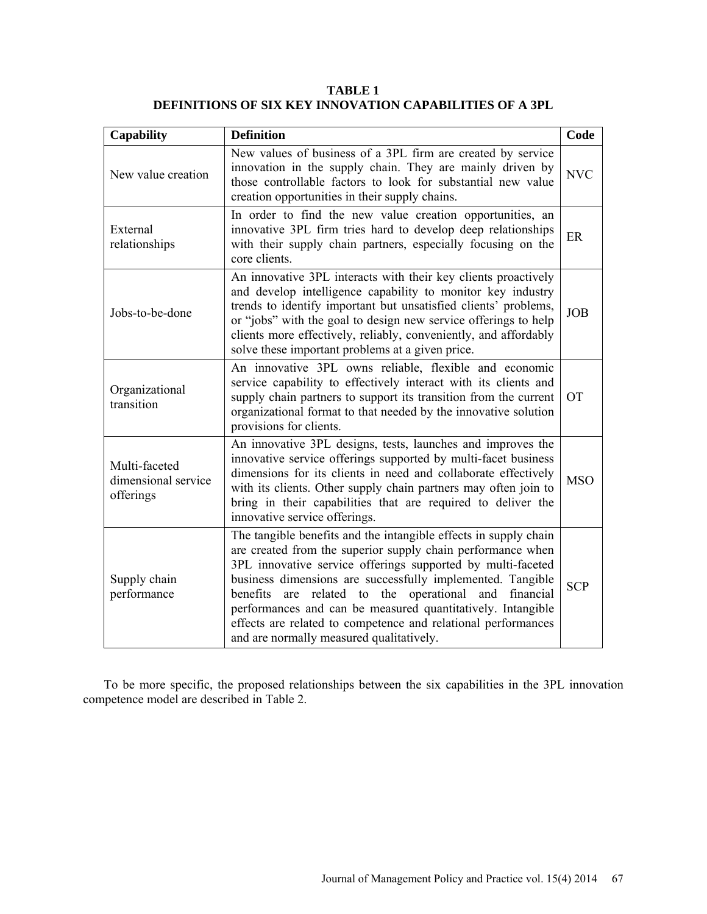**TABLE 1 DEFINITIONS OF SIX KEY INNOVATION CAPABILITIES OF A 3PL**

| <b>Capability</b>                                                                                                                                                                                                                                                | <b>Definition</b>                                                                                                                                                                                                                                                                                                                                                                                                                                                                                    | Code       |  |  |
|------------------------------------------------------------------------------------------------------------------------------------------------------------------------------------------------------------------------------------------------------------------|------------------------------------------------------------------------------------------------------------------------------------------------------------------------------------------------------------------------------------------------------------------------------------------------------------------------------------------------------------------------------------------------------------------------------------------------------------------------------------------------------|------------|--|--|
| New values of business of a 3PL firm are created by service<br>innovation in the supply chain. They are mainly driven by<br>New value creation<br>those controllable factors to look for substantial new value<br>creation opportunities in their supply chains. |                                                                                                                                                                                                                                                                                                                                                                                                                                                                                                      |            |  |  |
| External<br>relationships                                                                                                                                                                                                                                        | In order to find the new value creation opportunities, an<br>innovative 3PL firm tries hard to develop deep relationships<br>with their supply chain partners, especially focusing on the<br>core clients.                                                                                                                                                                                                                                                                                           | ER         |  |  |
| Jobs-to-be-done                                                                                                                                                                                                                                                  | An innovative 3PL interacts with their key clients proactively<br>and develop intelligence capability to monitor key industry<br>trends to identify important but unsatisfied clients' problems,<br>or "jobs" with the goal to design new service offerings to help<br>clients more effectively, reliably, conveniently, and affordably<br>solve these important problems at a given price.                                                                                                          | <b>JOB</b> |  |  |
| Organizational<br>transition                                                                                                                                                                                                                                     | An innovative 3PL owns reliable, flexible and economic<br>service capability to effectively interact with its clients and<br>supply chain partners to support its transition from the current<br>organizational format to that needed by the innovative solution<br>provisions for clients.                                                                                                                                                                                                          | <b>OT</b>  |  |  |
| Multi-faceted<br>dimensional service<br>offerings                                                                                                                                                                                                                | An innovative 3PL designs, tests, launches and improves the<br>innovative service offerings supported by multi-facet business<br>dimensions for its clients in need and collaborate effectively<br>with its clients. Other supply chain partners may often join to<br>bring in their capabilities that are required to deliver the<br>innovative service offerings.                                                                                                                                  | <b>MSO</b> |  |  |
| Supply chain<br>performance                                                                                                                                                                                                                                      | The tangible benefits and the intangible effects in supply chain<br>are created from the superior supply chain performance when<br>3PL innovative service offerings supported by multi-faceted<br>business dimensions are successfully implemented. Tangible<br>are related to the operational and financial<br>benefits<br>performances and can be measured quantitatively. Intangible<br>effects are related to competence and relational performances<br>and are normally measured qualitatively. | <b>SCP</b> |  |  |

To be more specific, the proposed relationships between the six capabilities in the 3PL innovation competence model are described in Table 2.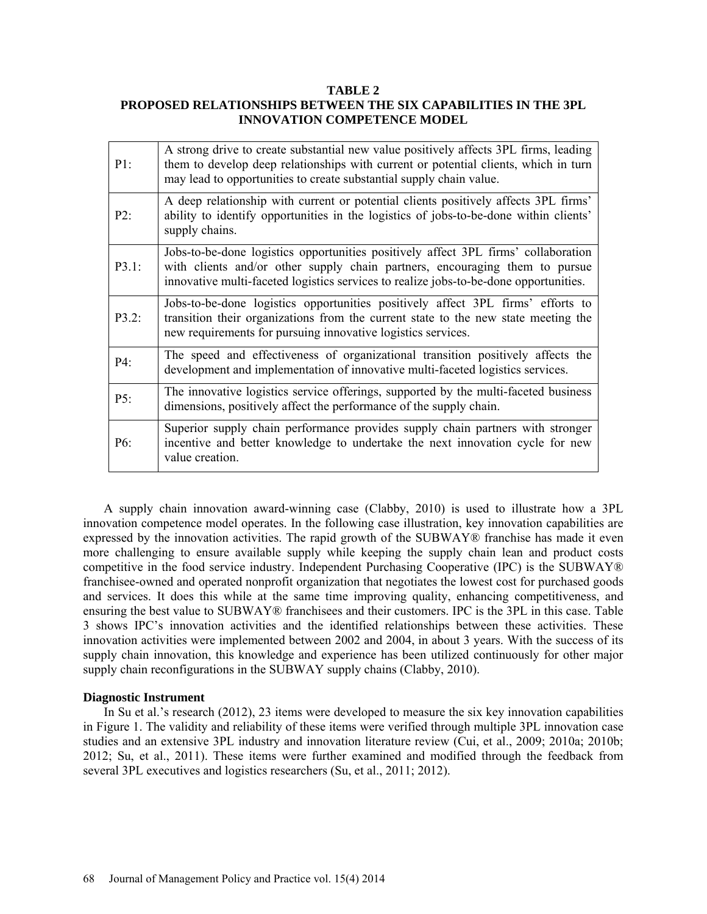#### **TABLE 2**

## **PROPOSED RELATIONSHIPS BETWEEN THE SIX CAPABILITIES IN THE 3PL INNOVATION COMPETENCE MODEL**

| P1:      | A strong drive to create substantial new value positively affects 3PL firms, leading<br>them to develop deep relationships with current or potential clients, which in turn<br>may lead to opportunities to create substantial supply chain value.         |
|----------|------------------------------------------------------------------------------------------------------------------------------------------------------------------------------------------------------------------------------------------------------------|
| P2:      | A deep relationship with current or potential clients positively affects 3PL firms'<br>ability to identify opportunities in the logistics of jobs-to-be-done within clients'<br>supply chains.                                                             |
| P3.1:    | Jobs-to-be-done logistics opportunities positively affect 3PL firms' collaboration<br>with clients and/or other supply chain partners, encouraging them to pursue<br>innovative multi-faceted logistics services to realize jobs-to-be-done opportunities. |
| $P3.2$ : | Jobs-to-be-done logistics opportunities positively affect 3PL firms' efforts to<br>transition their organizations from the current state to the new state meeting the<br>new requirements for pursuing innovative logistics services.                      |
| P4:      | The speed and effectiveness of organizational transition positively affects the<br>development and implementation of innovative multi-faceted logistics services.                                                                                          |
| P5:      | The innovative logistics service offerings, supported by the multi-faceted business<br>dimensions, positively affect the performance of the supply chain.                                                                                                  |
| P6:      | Superior supply chain performance provides supply chain partners with stronger<br>incentive and better knowledge to undertake the next innovation cycle for new<br>value creation.                                                                         |

A supply chain innovation award-winning case (Clabby, 2010) is used to illustrate how a 3PL innovation competence model operates. In the following case illustration, key innovation capabilities are expressed by the innovation activities. The rapid growth of the SUBWAY® franchise has made it even more challenging to ensure available supply while keeping the supply chain lean and product costs competitive in the food service industry. Independent Purchasing Cooperative (IPC) is the SUBWAY® franchisee-owned and operated nonprofit organization that negotiates the lowest cost for purchased goods and services. It does this while at the same time improving quality, enhancing competitiveness, and ensuring the best value to SUBWAY® franchisees and their customers. IPC is the 3PL in this case. Table 3 shows IPC's innovation activities and the identified relationships between these activities. These innovation activities were implemented between 2002 and 2004, in about 3 years. With the success of its supply chain innovation, this knowledge and experience has been utilized continuously for other major supply chain reconfigurations in the SUBWAY supply chains (Clabby, 2010).

#### **Diagnostic Instrument**

In Su et al.'s research (2012), 23 items were developed to measure the six key innovation capabilities in Figure 1. The validity and reliability of these items were verified through multiple 3PL innovation case studies and an extensive 3PL industry and innovation literature review (Cui, et al., 2009; 2010a; 2010b; 2012; Su, et al., 2011). These items were further examined and modified through the feedback from several 3PL executives and logistics researchers (Su, et al., 2011; 2012).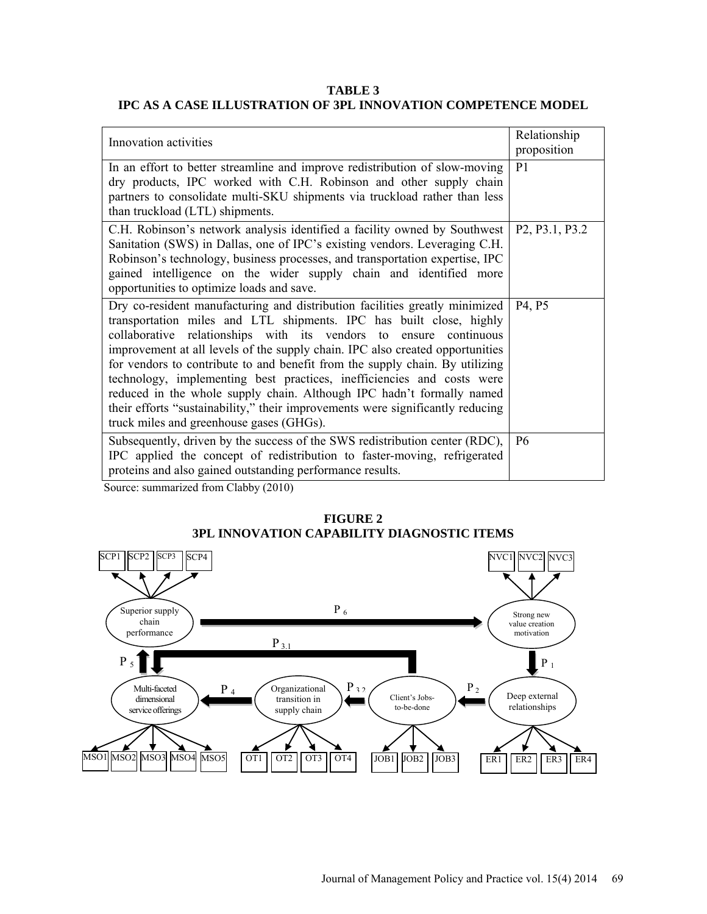## **TABLE 3 IPC AS A CASE ILLUSTRATION OF 3PL INNOVATION COMPETENCE MODEL**

| Innovation activities                                                                                                                                                                                                                                                                                                                                                                                                                                                                                                                                                                                                                                                     | Relationship<br>proposition                          |
|---------------------------------------------------------------------------------------------------------------------------------------------------------------------------------------------------------------------------------------------------------------------------------------------------------------------------------------------------------------------------------------------------------------------------------------------------------------------------------------------------------------------------------------------------------------------------------------------------------------------------------------------------------------------------|------------------------------------------------------|
| In an effort to better streamline and improve redistribution of slow-moving<br>dry products, IPC worked with C.H. Robinson and other supply chain<br>partners to consolidate multi-SKU shipments via truckload rather than less<br>than truckload (LTL) shipments.                                                                                                                                                                                                                                                                                                                                                                                                        | P <sub>1</sub>                                       |
| C.H. Robinson's network analysis identified a facility owned by Southwest<br>Sanitation (SWS) in Dallas, one of IPC's existing vendors. Leveraging C.H.<br>Robinson's technology, business processes, and transportation expertise, IPC<br>gained intelligence on the wider supply chain and identified more<br>opportunities to optimize loads and save.                                                                                                                                                                                                                                                                                                                 | P <sub>2</sub> , P <sub>3.1</sub> , P <sub>3.2</sub> |
| Dry co-resident manufacturing and distribution facilities greatly minimized<br>transportation miles and LTL shipments. IPC has built close, highly<br>collaborative relationships with its vendors to ensure continuous<br>improvement at all levels of the supply chain. IPC also created opportunities<br>for vendors to contribute to and benefit from the supply chain. By utilizing<br>technology, implementing best practices, inefficiencies and costs were<br>reduced in the whole supply chain. Although IPC hadn't formally named<br>their efforts "sustainability," their improvements were significantly reducing<br>truck miles and greenhouse gases (GHGs). | P <sub>4</sub> , P <sub>5</sub>                      |
| Subsequently, driven by the success of the SWS redistribution center (RDC),<br>IPC applied the concept of redistribution to faster-moving, refrigerated<br>proteins and also gained outstanding performance results.                                                                                                                                                                                                                                                                                                                                                                                                                                                      | P <sub>6</sub>                                       |

Source: summarized from Clabby (2010)



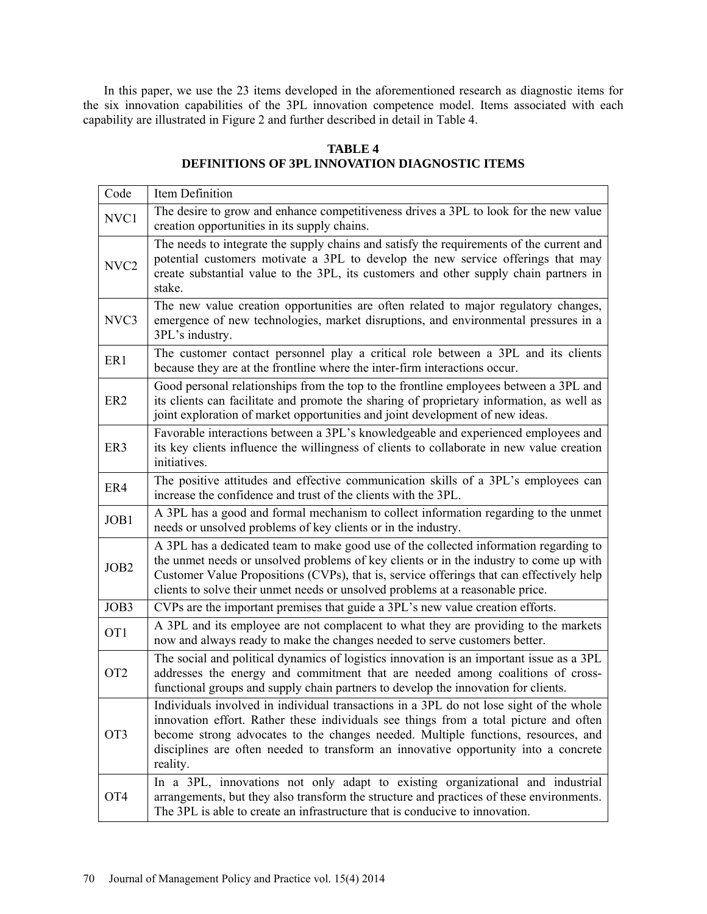In this paper, we use the 23 items developed in the aforementioned research as diagnostic items for the six innovation capabilities of the 3PL innovation competence model. Items associated with each capability are illustrated in Figure 2 and further described in detail in Table 4.

## **TABLE 4 DEFINITIONS OF 3PL INNOVATION DIAGNOSTIC ITEMS**

| Code             | Item Definition                                                                                                                                                                                                                                                                                                                                                                                                                                            |
|------------------|------------------------------------------------------------------------------------------------------------------------------------------------------------------------------------------------------------------------------------------------------------------------------------------------------------------------------------------------------------------------------------------------------------------------------------------------------------|
| NVC1             | The desire to grow and enhance competitiveness drives a 3PL to look for the new value<br>creation opportunities in its supply chains.                                                                                                                                                                                                                                                                                                                      |
| NVC <sub>2</sub> | The needs to integrate the supply chains and satisfy the requirements of the current and<br>potential customers motivate a 3PL to develop the new service offerings that may<br>create substantial value to the 3PL, its customers and other supply chain partners in<br>stake.                                                                                                                                                                            |
| NVC3             | The new value creation opportunities are often related to major regulatory changes,<br>emergence of new technologies, market disruptions, and environmental pressures in a<br>3PL's industry.                                                                                                                                                                                                                                                              |
| ER1              | The customer contact personnel play a critical role between a 3PL and its clients<br>because they are at the frontline where the inter-firm interactions occur.                                                                                                                                                                                                                                                                                            |
| ER <sub>2</sub>  | Good personal relationships from the top to the frontline employees between a 3PL and<br>its clients can facilitate and promote the sharing of proprietary information, as well as<br>joint exploration of market opportunities and joint development of new ideas.                                                                                                                                                                                        |
| ER3              | Favorable interactions between a 3PL's knowledgeable and experienced employees and<br>its key clients influence the willingness of clients to collaborate in new value creation<br>initiatives.                                                                                                                                                                                                                                                            |
| ER4              | The positive attitudes and effective communication skills of a 3PL's employees can<br>increase the confidence and trust of the clients with the 3PL.                                                                                                                                                                                                                                                                                                       |
| JOB1             | A 3PL has a good and formal mechanism to collect information regarding to the unmet<br>needs or unsolved problems of key clients or in the industry.                                                                                                                                                                                                                                                                                                       |
| JOB2             | A 3PL has a dedicated team to make good use of the collected information regarding to<br>the unmet needs or unsolved problems of key clients or in the industry to come up with<br>Customer Value Propositions (CVPs), that is, service offerings that can effectively help<br>clients to solve their unmet needs or unsolved problems at a reasonable price.                                                                                              |
| JOB3             | CVPs are the important premises that guide a 3PL's new value creation efforts.                                                                                                                                                                                                                                                                                                                                                                             |
| OT <sub>1</sub>  | A 3PL and its employee are not complacent to what they are providing to the markets<br>now and always ready to make the changes needed to serve customers better.                                                                                                                                                                                                                                                                                          |
| OT <sub>2</sub>  | The social and political dynamics of logistics innovation is an important issue as a 3PL                                                                                                                                                                                                                                                                                                                                                                   |
|                  | addresses the energy and commitment that are needed among coalitions of cross-<br>functional groups and supply chain partners to develop the innovation for clients.                                                                                                                                                                                                                                                                                       |
| OT <sub>3</sub>  | Individuals involved in individual transactions in a 3PL do not lose sight of the whole<br>innovation effort. Rather these individuals see things from a total picture and often<br>become strong advocates to the changes needed. Multiple functions, resources, and<br>disciplines are often needed to transform an innovative opportunity into a concrete<br>reality.<br>In a 3PL, innovations not only adapt to existing organizational and industrial |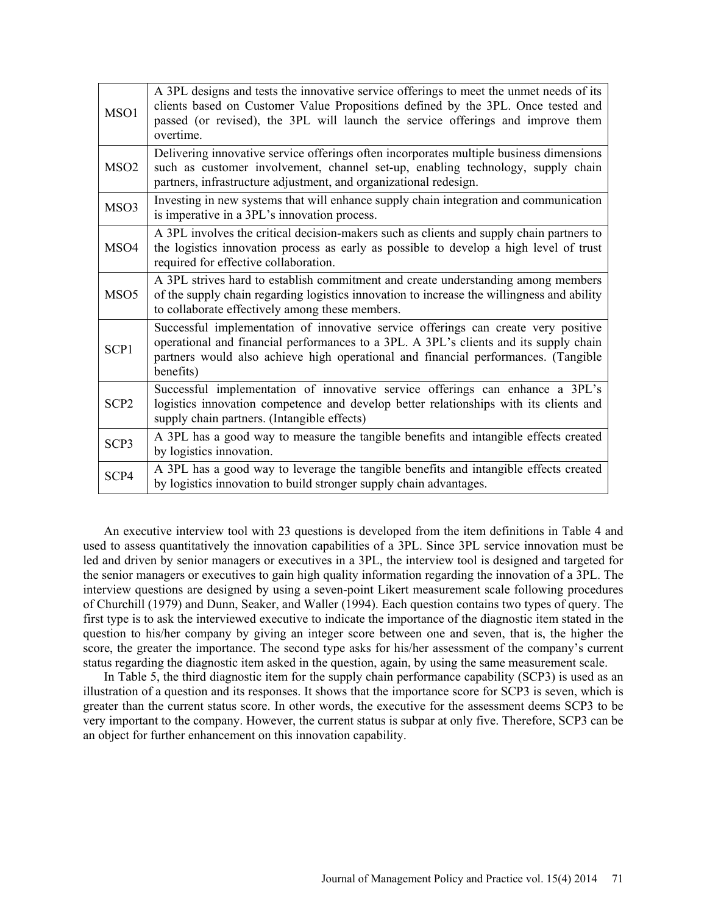| MSO1             | A 3PL designs and tests the innovative service offerings to meet the unmet needs of its<br>clients based on Customer Value Propositions defined by the 3PL. Once tested and<br>passed (or revised), the 3PL will launch the service offerings and improve them<br>overtime.    |
|------------------|--------------------------------------------------------------------------------------------------------------------------------------------------------------------------------------------------------------------------------------------------------------------------------|
| MSO <sub>2</sub> | Delivering innovative service offerings often incorporates multiple business dimensions<br>such as customer involvement, channel set-up, enabling technology, supply chain<br>partners, infrastructure adjustment, and organizational redesign.                                |
| MSO3             | Investing in new systems that will enhance supply chain integration and communication<br>is imperative in a 3PL's innovation process.                                                                                                                                          |
| MSO4             | A 3PL involves the critical decision-makers such as clients and supply chain partners to<br>the logistics innovation process as early as possible to develop a high level of trust<br>required for effective collaboration.                                                    |
| MSO <sub>5</sub> | A 3PL strives hard to establish commitment and create understanding among members<br>of the supply chain regarding logistics innovation to increase the willingness and ability<br>to collaborate effectively among these members.                                             |
| SCP1             | Successful implementation of innovative service offerings can create very positive<br>operational and financial performances to a 3PL. A 3PL's clients and its supply chain<br>partners would also achieve high operational and financial performances. (Tangible<br>benefits) |
| SCP <sub>2</sub> | Successful implementation of innovative service offerings can enhance a 3PL's<br>logistics innovation competence and develop better relationships with its clients and<br>supply chain partners. (Intangible effects)                                                          |
| SCP <sub>3</sub> | A 3PL has a good way to measure the tangible benefits and intangible effects created<br>by logistics innovation.                                                                                                                                                               |
| SCP4             | A 3PL has a good way to leverage the tangible benefits and intangible effects created<br>by logistics innovation to build stronger supply chain advantages.                                                                                                                    |

An executive interview tool with 23 questions is developed from the item definitions in Table 4 and used to assess quantitatively the innovation capabilities of a 3PL. Since 3PL service innovation must be led and driven by senior managers or executives in a 3PL, the interview tool is designed and targeted for the senior managers or executives to gain high quality information regarding the innovation of a 3PL. The interview questions are designed by using a seven-point Likert measurement scale following procedures of Churchill (1979) and Dunn, Seaker, and Waller (1994). Each question contains two types of query. The first type is to ask the interviewed executive to indicate the importance of the diagnostic item stated in the question to his/her company by giving an integer score between one and seven, that is, the higher the score, the greater the importance. The second type asks for his/her assessment of the company's current status regarding the diagnostic item asked in the question, again, by using the same measurement scale.

In Table 5, the third diagnostic item for the supply chain performance capability (SCP3) is used as an illustration of a question and its responses. It shows that the importance score for SCP3 is seven, which is greater than the current status score. In other words, the executive for the assessment deems SCP3 to be very important to the company. However, the current status is subpar at only five. Therefore, SCP3 can be an object for further enhancement on this innovation capability.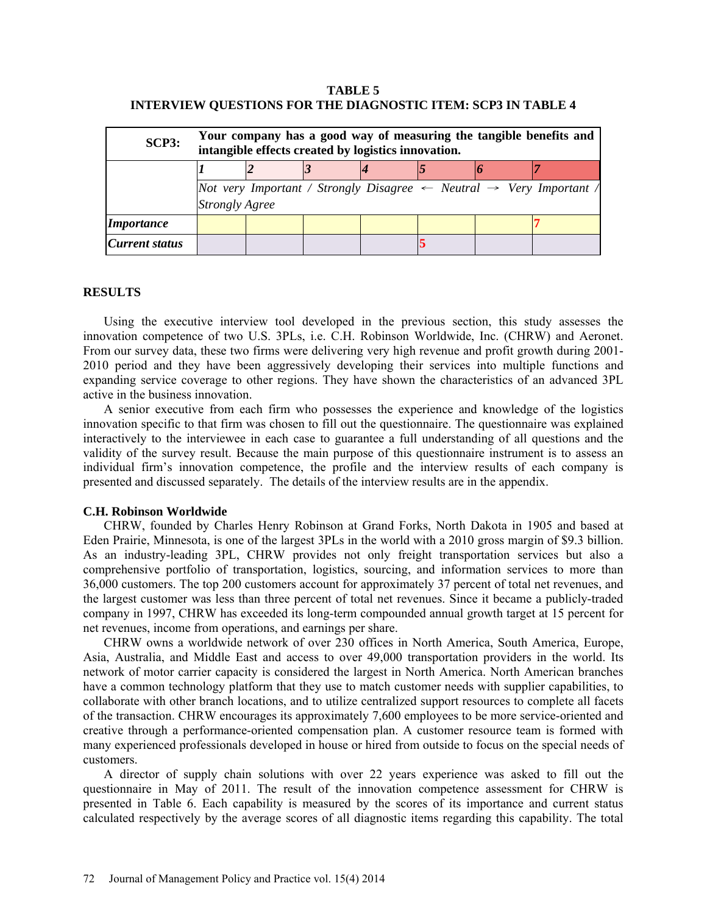## **TABLE 5 INTERVIEW QUESTIONS FOR THE DIAGNOSTIC ITEM: SCP3 IN TABLE 4**

| SCP3:             | Your company has a good way of measuring the tangible benefits and<br>intangible effects created by logistics innovation. |  |  |  |  |  |                                                                                                  |
|-------------------|---------------------------------------------------------------------------------------------------------------------------|--|--|--|--|--|--------------------------------------------------------------------------------------------------|
|                   |                                                                                                                           |  |  |  |  |  |                                                                                                  |
|                   | <b>Strongly Agree</b>                                                                                                     |  |  |  |  |  | Not very Important / Strongly Disagree $\leftarrow$ Neutral $\rightarrow$ Very Important $\land$ |
| <i>Importance</i> |                                                                                                                           |  |  |  |  |  |                                                                                                  |
| Current status    |                                                                                                                           |  |  |  |  |  |                                                                                                  |

## **RESULTS**

Using the executive interview tool developed in the previous section, this study assesses the innovation competence of two U.S. 3PLs, i.e. C.H. Robinson Worldwide, Inc. (CHRW) and Aeronet. From our survey data, these two firms were delivering very high revenue and profit growth during 2001- 2010 period and they have been aggressively developing their services into multiple functions and expanding service coverage to other regions. They have shown the characteristics of an advanced 3PL active in the business innovation.

A senior executive from each firm who possesses the experience and knowledge of the logistics innovation specific to that firm was chosen to fill out the questionnaire. The questionnaire was explained interactively to the interviewee in each case to guarantee a full understanding of all questions and the validity of the survey result. Because the main purpose of this questionnaire instrument is to assess an individual firm's innovation competence, the profile and the interview results of each company is presented and discussed separately. The details of the interview results are in the appendix.

## **C.H. Robinson Worldwide**

CHRW, founded by Charles Henry Robinson at Grand Forks, North Dakota in 1905 and based at Eden Prairie, Minnesota, is one of the largest 3PLs in the world with a 2010 gross margin of \$9.3 billion. As an industry-leading 3PL, CHRW provides not only freight transportation services but also a comprehensive portfolio of transportation, logistics, sourcing, and information services to more than 36,000 customers. The top 200 customers account for approximately 37 percent of total net revenues, and the largest customer was less than three percent of total net revenues. Since it became a publicly-traded company in 1997, CHRW has exceeded its long-term compounded annual growth target at 15 percent for net revenues, income from operations, and earnings per share.

CHRW owns a worldwide network of over 230 offices in North America, South America, Europe, Asia, Australia, and Middle East and access to over 49,000 transportation providers in the world. Its network of motor carrier capacity is considered the largest in North America. North American branches have a common technology platform that they use to match customer needs with supplier capabilities, to collaborate with other branch locations, and to utilize centralized support resources to complete all facets of the transaction. CHRW encourages its approximately 7,600 employees to be more service-oriented and creative through a performance-oriented compensation plan. A customer resource team is formed with many experienced professionals developed in house or hired from outside to focus on the special needs of customers.

A director of supply chain solutions with over 22 years experience was asked to fill out the questionnaire in May of 2011. The result of the innovation competence assessment for CHRW is presented in Table 6. Each capability is measured by the scores of its importance and current status calculated respectively by the average scores of all diagnostic items regarding this capability. The total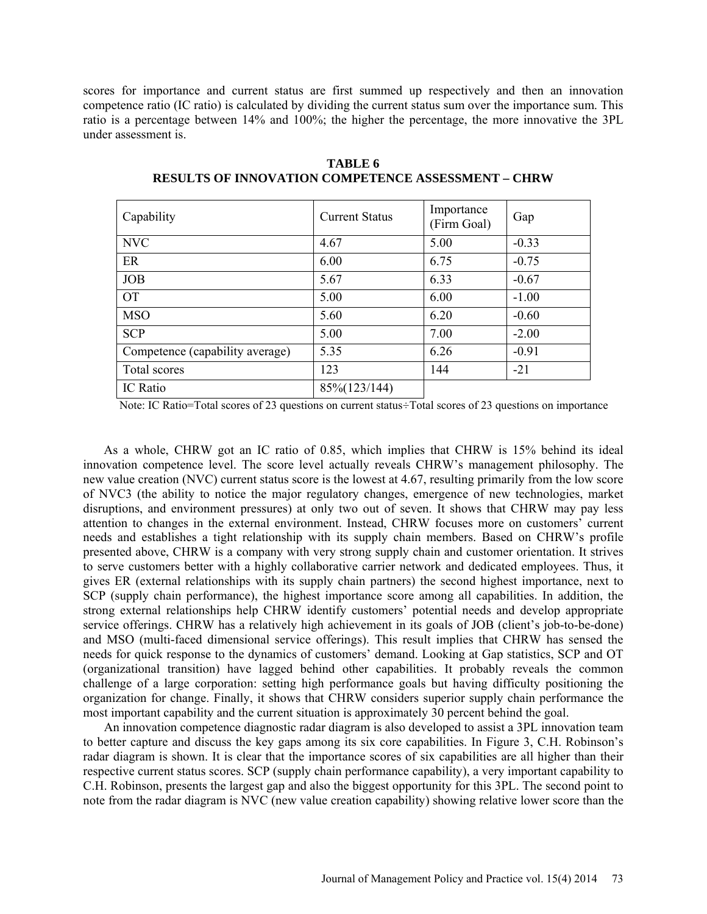scores for importance and current status are first summed up respectively and then an innovation competence ratio (IC ratio) is calculated by dividing the current status sum over the importance sum. This ratio is a percentage between 14% and 100%; the higher the percentage, the more innovative the 3PL under assessment is.

| Capability                      | <b>Current Status</b> | Importance<br>(Firm Goal) | Gap     |
|---------------------------------|-----------------------|---------------------------|---------|
| <b>NVC</b>                      | 4.67                  | 5.00                      | $-0.33$ |
| ER                              | 6.00                  | 6.75                      | $-0.75$ |
| <b>JOB</b>                      | 5.67                  | 6.33                      | $-0.67$ |
| <b>OT</b>                       | 5.00                  | 6.00                      | $-1.00$ |
| <b>MSO</b>                      | 5.60                  | 6.20                      | $-0.60$ |
| <b>SCP</b>                      | 5.00                  | 7.00                      | $-2.00$ |
| Competence (capability average) | 5.35                  | 6.26                      | $-0.91$ |
| Total scores                    | 123                   | 144                       | $-21$   |
| IC Ratio                        | 85%(123/144)          |                           |         |

**TABLE 6 RESULTS OF INNOVATION COMPETENCE ASSESSMENT – CHRW**

Note: IC Ratio=Total scores of 23 questions on current status÷Total scores of 23 questions on importance

As a whole, CHRW got an IC ratio of 0.85, which implies that CHRW is 15% behind its ideal innovation competence level. The score level actually reveals CHRW's management philosophy. The new value creation (NVC) current status score is the lowest at 4.67, resulting primarily from the low score of NVC3 (the ability to notice the major regulatory changes, emergence of new technologies, market disruptions, and environment pressures) at only two out of seven. It shows that CHRW may pay less attention to changes in the external environment. Instead, CHRW focuses more on customers' current needs and establishes a tight relationship with its supply chain members. Based on CHRW's profile presented above, CHRW is a company with very strong supply chain and customer orientation. It strives to serve customers better with a highly collaborative carrier network and dedicated employees. Thus, it gives ER (external relationships with its supply chain partners) the second highest importance, next to SCP (supply chain performance), the highest importance score among all capabilities. In addition, the strong external relationships help CHRW identify customers' potential needs and develop appropriate service offerings. CHRW has a relatively high achievement in its goals of JOB (client's job-to-be-done) and MSO (multi-faced dimensional service offerings). This result implies that CHRW has sensed the needs for quick response to the dynamics of customers' demand. Looking at Gap statistics, SCP and OT (organizational transition) have lagged behind other capabilities. It probably reveals the common challenge of a large corporation: setting high performance goals but having difficulty positioning the organization for change. Finally, it shows that CHRW considers superior supply chain performance the most important capability and the current situation is approximately 30 percent behind the goal.

An innovation competence diagnostic radar diagram is also developed to assist a 3PL innovation team to better capture and discuss the key gaps among its six core capabilities. In Figure 3, C.H. Robinson's radar diagram is shown. It is clear that the importance scores of six capabilities are all higher than their respective current status scores. SCP (supply chain performance capability), a very important capability to C.H. Robinson, presents the largest gap and also the biggest opportunity for this 3PL. The second point to note from the radar diagram is NVC (new value creation capability) showing relative lower score than the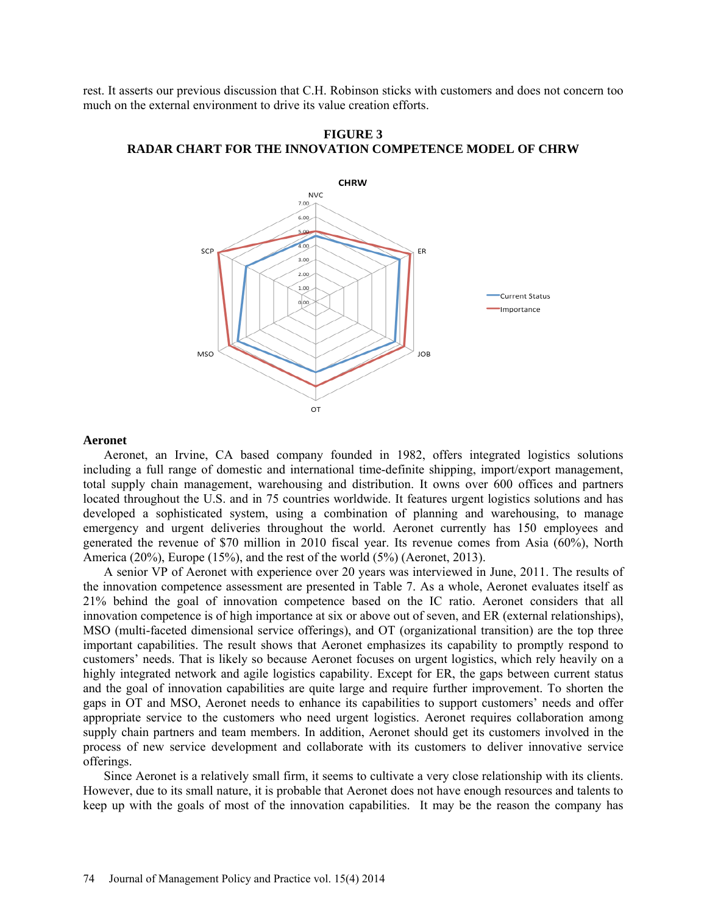rest. It asserts our previous discussion that C.H. Robinson sticks with customers and does not concern too much on the external environment to drive its value creation efforts.



**FIGURE 3 RADAR CHART FOR THE INNOVATION COMPETENCE MODEL OF CHRW**

## **Aeronet**

Aeronet, an Irvine, CA based company founded in 1982, offers integrated logistics solutions including a full range of domestic and international time-definite shipping, import/export management, total supply chain management, warehousing and distribution. It owns over 600 offices and partners located throughout the U.S. and in 75 countries worldwide. It features urgent logistics solutions and has developed a sophisticated system, using a combination of planning and warehousing, to manage emergency and urgent deliveries throughout the world. Aeronet currently has 150 employees and generated the revenue of \$70 million in 2010 fiscal year. Its revenue comes from Asia (60%), North America (20%), Europe (15%), and the rest of the world (5%) (Aeronet, 2013).

A senior VP of Aeronet with experience over 20 years was interviewed in June, 2011. The results of the innovation competence assessment are presented in Table 7. As a whole, Aeronet evaluates itself as 21% behind the goal of innovation competence based on the IC ratio. Aeronet considers that all innovation competence is of high importance at six or above out of seven, and ER (external relationships), MSO (multi-faceted dimensional service offerings), and OT (organizational transition) are the top three important capabilities. The result shows that Aeronet emphasizes its capability to promptly respond to customers' needs. That is likely so because Aeronet focuses on urgent logistics, which rely heavily on a highly integrated network and agile logistics capability. Except for ER, the gaps between current status and the goal of innovation capabilities are quite large and require further improvement. To shorten the gaps in OT and MSO, Aeronet needs to enhance its capabilities to support customers' needs and offer appropriate service to the customers who need urgent logistics. Aeronet requires collaboration among supply chain partners and team members. In addition, Aeronet should get its customers involved in the process of new service development and collaborate with its customers to deliver innovative service offerings.

Since Aeronet is a relatively small firm, it seems to cultivate a very close relationship with its clients. However, due to its small nature, it is probable that Aeronet does not have enough resources and talents to keep up with the goals of most of the innovation capabilities. It may be the reason the company has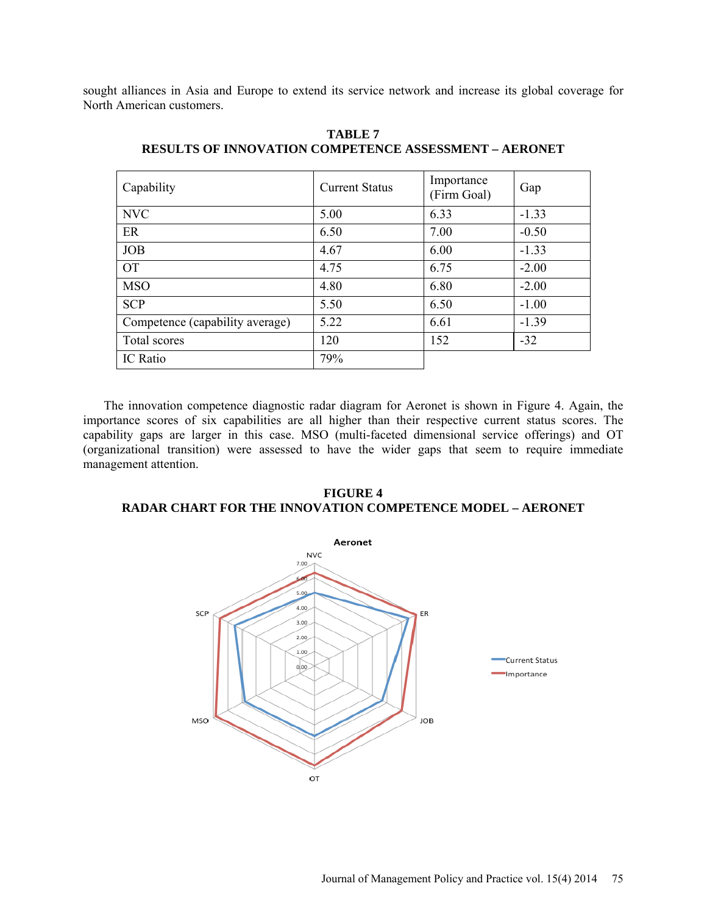sought alliances in Asia and Europe to extend its service network and increase its global coverage for North American customers.

| Capability                      | <b>Current Status</b> | Importance<br>(Firm Goal) | Gap     |
|---------------------------------|-----------------------|---------------------------|---------|
| <b>NVC</b>                      | 5.00                  | 6.33                      | $-1.33$ |
| ER                              | 6.50                  | 7.00                      | $-0.50$ |
| <b>JOB</b>                      | 4.67                  | 6.00                      | $-1.33$ |
| <b>OT</b>                       | 4.75                  | 6.75                      | $-2.00$ |
| <b>MSO</b>                      | 4.80                  | 6.80                      | $-2.00$ |
| <b>SCP</b>                      | 5.50                  | 6.50                      | $-1.00$ |
| Competence (capability average) | 5.22                  | 6.61                      | $-1.39$ |
| Total scores                    | 120                   | 152                       | $-32$   |
| IC Ratio                        | 79%                   |                           |         |

**TABLE 7 RESULTS OF INNOVATION COMPETENCE ASSESSMENT – AERONET**

The innovation competence diagnostic radar diagram for Aeronet is shown in Figure 4. Again, the importance scores of six capabilities are all higher than their respective current status scores. The capability gaps are larger in this case. MSO (multi-faceted dimensional service offerings) and OT (organizational transition) were assessed to have the wider gaps that seem to require immediate management attention.

## **FIGURE 4 RADAR CHART FOR THE INNOVATION COMPETENCE MODEL – AERONET**

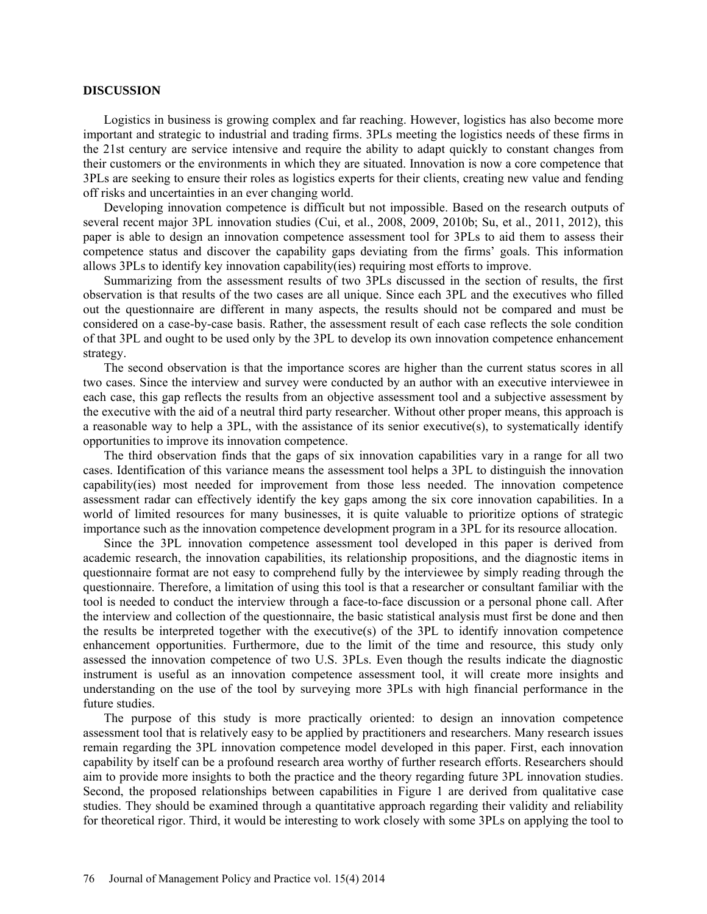#### **DISCUSSION**

Logistics in business is growing complex and far reaching. However, logistics has also become more important and strategic to industrial and trading firms. 3PLs meeting the logistics needs of these firms in the 21st century are service intensive and require the ability to adapt quickly to constant changes from their customers or the environments in which they are situated. Innovation is now a core competence that 3PLs are seeking to ensure their roles as logistics experts for their clients, creating new value and fending off risks and uncertainties in an ever changing world.

Developing innovation competence is difficult but not impossible. Based on the research outputs of several recent major 3PL innovation studies (Cui, et al., 2008, 2009, 2010b; Su, et al., 2011, 2012), this paper is able to design an innovation competence assessment tool for 3PLs to aid them to assess their competence status and discover the capability gaps deviating from the firms' goals. This information allows 3PLs to identify key innovation capability(ies) requiring most efforts to improve.

Summarizing from the assessment results of two 3PLs discussed in the section of results, the first observation is that results of the two cases are all unique. Since each 3PL and the executives who filled out the questionnaire are different in many aspects, the results should not be compared and must be considered on a case-by-case basis. Rather, the assessment result of each case reflects the sole condition of that 3PL and ought to be used only by the 3PL to develop its own innovation competence enhancement strategy.

The second observation is that the importance scores are higher than the current status scores in all two cases. Since the interview and survey were conducted by an author with an executive interviewee in each case, this gap reflects the results from an objective assessment tool and a subjective assessment by the executive with the aid of a neutral third party researcher. Without other proper means, this approach is a reasonable way to help a 3PL, with the assistance of its senior executive(s), to systematically identify opportunities to improve its innovation competence.

The third observation finds that the gaps of six innovation capabilities vary in a range for all two cases. Identification of this variance means the assessment tool helps a 3PL to distinguish the innovation capability(ies) most needed for improvement from those less needed. The innovation competence assessment radar can effectively identify the key gaps among the six core innovation capabilities. In a world of limited resources for many businesses, it is quite valuable to prioritize options of strategic importance such as the innovation competence development program in a 3PL for its resource allocation.

Since the 3PL innovation competence assessment tool developed in this paper is derived from academic research, the innovation capabilities, its relationship propositions, and the diagnostic items in questionnaire format are not easy to comprehend fully by the interviewee by simply reading through the questionnaire. Therefore, a limitation of using this tool is that a researcher or consultant familiar with the tool is needed to conduct the interview through a face-to-face discussion or a personal phone call. After the interview and collection of the questionnaire, the basic statistical analysis must first be done and then the results be interpreted together with the executive(s) of the 3PL to identify innovation competence enhancement opportunities. Furthermore, due to the limit of the time and resource, this study only assessed the innovation competence of two U.S. 3PLs. Even though the results indicate the diagnostic instrument is useful as an innovation competence assessment tool, it will create more insights and understanding on the use of the tool by surveying more 3PLs with high financial performance in the future studies.

The purpose of this study is more practically oriented: to design an innovation competence assessment tool that is relatively easy to be applied by practitioners and researchers. Many research issues remain regarding the 3PL innovation competence model developed in this paper. First, each innovation capability by itself can be a profound research area worthy of further research efforts. Researchers should aim to provide more insights to both the practice and the theory regarding future 3PL innovation studies. Second, the proposed relationships between capabilities in Figure 1 are derived from qualitative case studies. They should be examined through a quantitative approach regarding their validity and reliability for theoretical rigor. Third, it would be interesting to work closely with some 3PLs on applying the tool to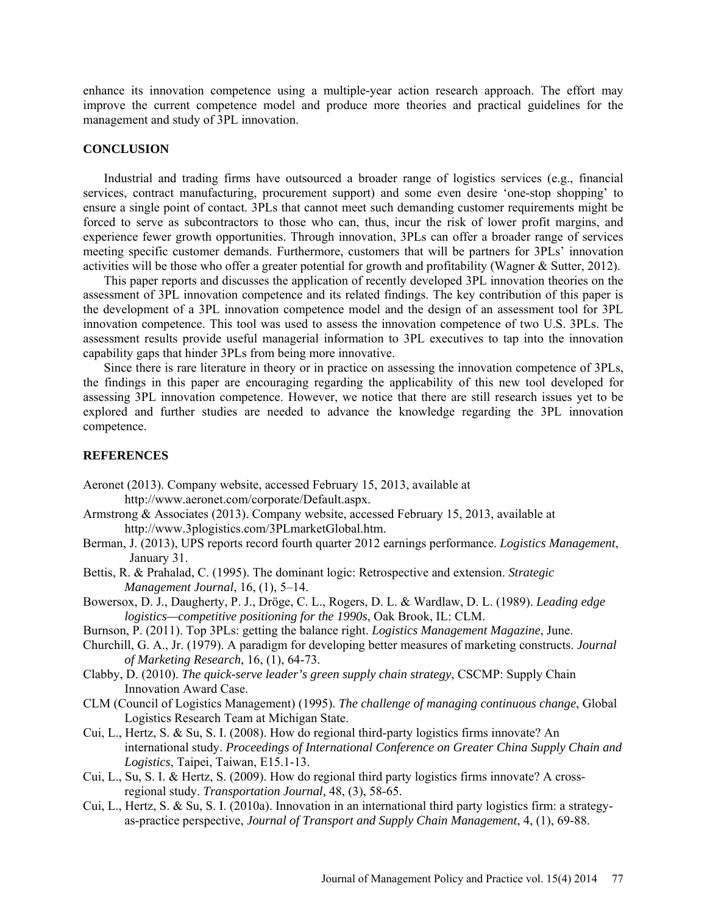enhance its innovation competence using a multiple-year action research approach. The effort may improve the current competence model and produce more theories and practical guidelines for the management and study of 3PL innovation.

## **CONCLUSION**

Industrial and trading firms have outsourced a broader range of logistics services (e.g., financial services, contract manufacturing, procurement support) and some even desire 'one-stop shopping' to ensure a single point of contact. 3PLs that cannot meet such demanding customer requirements might be forced to serve as subcontractors to those who can, thus, incur the risk of lower profit margins, and experience fewer growth opportunities. Through innovation, 3PLs can offer a broader range of services meeting specific customer demands. Furthermore, customers that will be partners for 3PLs' innovation activities will be those who offer a greater potential for growth and profitability (Wagner & Sutter, 2012).

This paper reports and discusses the application of recently developed 3PL innovation theories on the assessment of 3PL innovation competence and its related findings. The key contribution of this paper is the development of a 3PL innovation competence model and the design of an assessment tool for 3PL innovation competence. This tool was used to assess the innovation competence of two U.S. 3PLs. The assessment results provide useful managerial information to 3PL executives to tap into the innovation capability gaps that hinder 3PLs from being more innovative.

Since there is rare literature in theory or in practice on assessing the innovation competence of 3PLs, the findings in this paper are encouraging regarding the applicability of this new tool developed for assessing 3PL innovation competence. However, we notice that there are still research issues yet to be explored and further studies are needed to advance the knowledge regarding the 3PL innovation competence.

#### **REFERENCES**

- Aeronet (2013). Company website, accessed February 15, 2013, available at [http://www.aeronet.com/corporate/Default.aspx.](http://www.aeronet.com/corporate/Default.aspx)
- Armstrong & Associates (2013). Company website, accessed February 15, 2013, available at [http://www.3plogistics.com/3PLmarketGlobal.htm.](http://www.3plogistics.com/3PLmarketGlobal.htm)
- Berman, J. (2013), UPS reports record fourth quarter 2012 earnings performance. *Logistics Management*, January 31.
- Bettis, R. & Prahalad, C. (1995). The dominant logic: Retrospective and extension. *Strategic Management Journal*, 16, (1), 5–14.
- Bowersox, D. J., Daugherty, P. J., Dröge, C. L., Rogers, D. L. & Wardlaw, D. L. (1989). *Leading edge logistics—competitive positioning for the 1990s*, Oak Brook, IL: CLM.
- Burnson, P. (2011). Top 3PLs: getting the balance right. *Logistics Management Magazine*, June.
- Churchill, G. A., Jr. (1979). A paradigm for developing better measures of marketing constructs. *Journal of Marketing Research*, 16, (1), 64-73.
- Clabby, D. (2010). *The quick-serve leader's green supply chain strategy*, CSCMP: Supply Chain Innovation Award Case.
- CLM (Council of Logistics Management) (1995). *The challenge of managing continuous change*, Global Logistics Research Team at Michigan State.
- Cui, L., Hertz, S. & Su, S. I. (2008). How do regional third-party logistics firms innovate? An international study. *Proceedings of International Conference on Greater China Supply Chain and Logistics*, Taipei, Taiwan, E15.1-13.
- Cui, L., Su, S. I. & Hertz, S. (2009). How do regional third party logistics firms innovate? A crossregional study. *Transportation Journal,* 48, (3), 58-65.
- Cui, L., Hertz, S. & Su, S. I. (2010a). Innovation in an international third party logistics firm: a strategyas-practice perspective, *Journal of Transport and Supply Chain Management*, 4, (1), 69-88.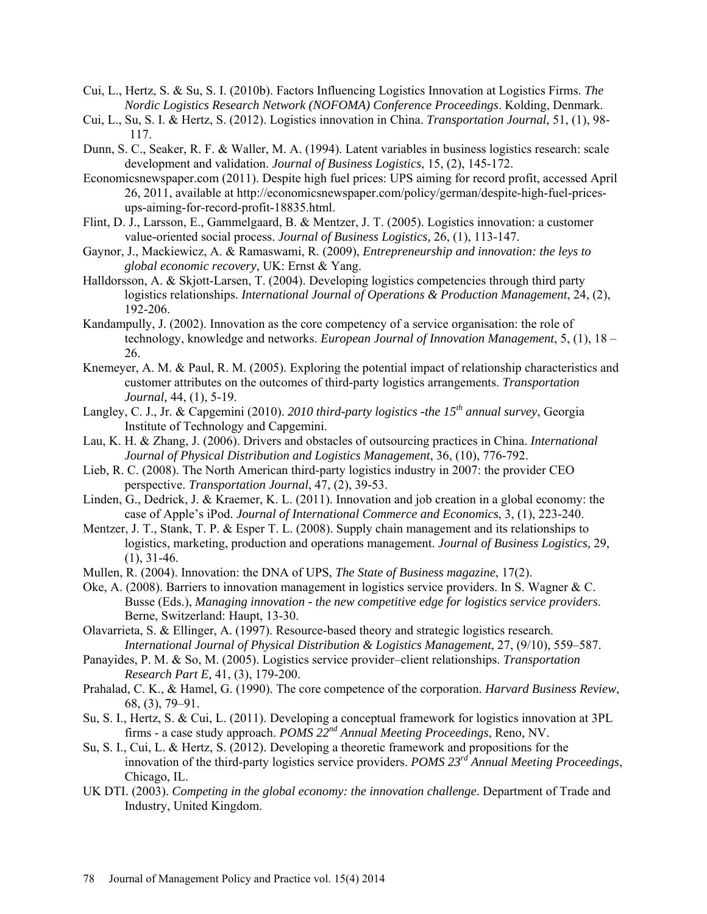- Cui, L., Hertz, S. & Su, S. I. (2010b). Factors Influencing Logistics Innovation at Logistics Firms. *The Nordic Logistics Research Network (NOFOMA) Conference Proceedings*. Kolding, Denmark.
- Cui, L., Su, S. I. & Hertz, S. (2012). Logistics innovation in China. *Transportation Journal*, 51, (1), 98- 117.
- Dunn, S. C., Seaker, R. F. & Waller, M. A. (1994). Latent variables in business logistics research: scale development and validation. *Journal of Business Logistics*, 15, (2), 145-172.
- Economicsnewspaper.com (2011). Despite high fuel prices: UPS aiming for record profit, accessed April 26, 2011, available at [http://economicsnewspaper.com/policy/german/despite-high-fuel-prices](http://economicsnewspaper.com/policy/german/despite-high-fuel-prices-ups-aiming-for-record-profit-18835.html)[ups-aiming-for-record-profit-18835.html.](http://economicsnewspaper.com/policy/german/despite-high-fuel-prices-ups-aiming-for-record-profit-18835.html)
- Flint, D. J., Larsson, E., Gammelgaard, B. & Mentzer, J. T. (2005). Logistics innovation: a customer value-oriented social process. *Journal of Business Logistics,* 26, (1), 113-147.
- Gaynor, J., Mackiewicz, A. & Ramaswami, R. (2009), *Entrepreneurship and innovation: the leys to global economic recovery*, UK: Ernst & Yang.
- Halldorsson, A. & Skjott-Larsen, T. (2004). Developing logistics competencies through third party logistics relationships. *International Journal of Operations & Production Management*, 24, (2), 192-206.
- Kandampully, J. (2002). Innovation as the core competency of a service organisation: the role of technology, knowledge and networks. *European Journal of Innovation Management*, 5, (1), 18 – 26.
- Knemeyer, A. M. & Paul, R. M. (2005). Exploring the potential impact of relationship characteristics and customer attributes on the outcomes of third-party logistics arrangements. *Transportation Journal,* 44, (1), 5-19.
- Langley, C. J., Jr. & Capgemini (2010). *2010 third-party logistics -the 15th annual survey*, Georgia Institute of Technology and Capgemini.
- Lau, K. H. & Zhang, J. (2006). Drivers and obstacles of outsourcing practices in China. *International Journal of Physical Distribution and Logistics Management*, 36, (10), 776-792.
- Lieb, R. C. (2008). The North American third-party logistics industry in 2007: the provider CEO perspective. *Transportation Journal*, 47, (2), 39-53.
- Linden, G., Dedrick, J. & Kraemer, K. L. (2011). Innovation and job creation in a global economy: the case of Apple's iPod. *Journal of International Commerce and Economics*, 3, (1), 223-240.
- Mentzer, J. T., Stank, T. P. & Esper T. L. (2008). Supply chain management and its relationships to logistics, marketing, production and operations management. *Journal of Business Logistics,* 29,  $(1), 31-46.$
- Mullen, R. (2004). Innovation: the DNA of UPS, *The State of Business magazine*, 17(2).
- Oke, A. (2008). Barriers to innovation management in logistics service providers. In S. Wagner & C. Busse (Eds.), *Managing innovation - the new competitive edge for logistics service providers*. Berne, Switzerland: Haupt, 13-30.
- Olavarrieta, S. & Ellinger, A. (1997). Resource-based theory and strategic logistics research. *International Journal of Physical Distribution & Logistics Management*, 27, (9/10), 559–587.
- Panayides, P. M. & So, M. (2005). Logistics service provider–client relationships. *Transportation Research Part E,* 41, (3), 179-200.
- Prahalad, C. K., & Hamel, G. (1990). The core competence of the corporation. *Harvard Business Review*, 68, (3), 79–91.
- Su, S. I., Hertz, S. & Cui, L. (2011). Developing a conceptual framework for logistics innovation at 3PL firms - a case study approach. *POMS 22nd Annual Meeting Proceedings*, Reno, NV.
- Su, S. I., Cui, L. & Hertz, S. (2012). Developing a theoretic framework and propositions for the innovation of the third-party logistics service providers. *POMS 23rd Annual Meeting Proceedings*, Chicago, IL.
- UK DTI. (2003). *Competing in the global economy: the innovation challenge*. Department of Trade and Industry, United Kingdom.